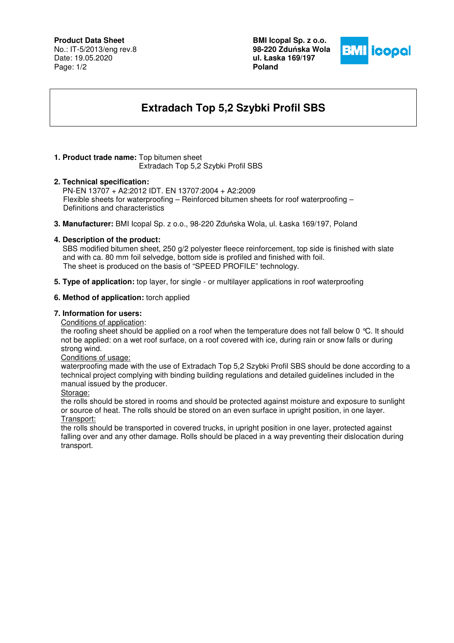## **Product Data Sheet**

No.: IT-5/2013/eng rev.8 Date: 19.05.2020 Page: 1/2

**BMI Icopal Sp. z o.o. 98-220 Zdu**ń**ska Wola ul. Łaska 169/197 Poland** 



# **Extradach Top 5,2 Szybki Profil SBS**

# **1. Product trade name:** Top bitumen sheet

Extradach Top 5,2 Szybki Profil SBS

## **2. Technical specification:**

PN-EN 13707 + A2:2012 IDT. EN 13707:2004 + A2:2009 Flexible sheets for waterproofing – Reinforced bitumen sheets for roof waterproofing – Definitions and characteristics

**3. Manufacturer:** BMI Icopal Sp. z o.o., 98-220 Zduńska Wola, ul. Łaska 169/197, Poland

## **4. Description of the product:**

 SBS modified bitumen sheet, 250 g/2 polyester fleece reinforcement, top side is finished with slate and with ca. 80 mm foil selvedge, bottom side is profiled and finished with foil. The sheet is produced on the basis of "SPEED PROFILE" technology.

**5. Type of application:** top layer, for single - or multilayer applications in roof waterproofing

#### **6. Method of application:** torch applied

#### **7. Information for users:**

Conditions of application:

the roofing sheet should be applied on a roof when the temperature does not fall below 0 °C. It should not be applied: on a wet roof surface, on a roof covered with ice, during rain or snow falls or during strong wind.

#### Conditions of usage:

waterproofing made with the use of Extradach Top 5,2 Szybki Profil SBS should be done according to a technical project complying with binding building regulations and detailed guidelines included in the manual issued by the producer.

#### Storage:

the rolls should be stored in rooms and should be protected against moisture and exposure to sunlight or source of heat. The rolls should be stored on an even surface in upright position, in one layer. Transport:

the rolls should be transported in covered trucks, in upright position in one layer, protected against falling over and any other damage. Rolls should be placed in a way preventing their dislocation during transport.